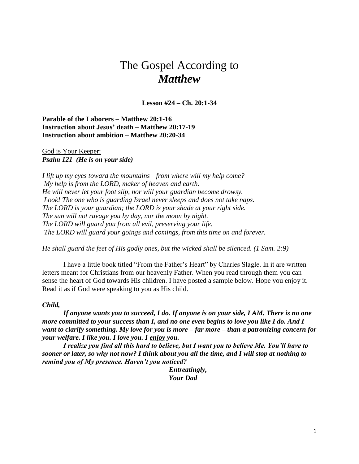# The Gospel According to *Matthew*

**Lesson #24 – Ch. 20:1-34**

**Parable of the Laborers – Matthew 20:1-16 Instruction about Jesus' death – Matthew 20:17-19 Instruction about ambition – Matthew 20:20-34**

God is Your Keeper: *Psalm 121 (He is on your side)*

*I lift up my eyes toward the mountains—from where will my help come? My help is from the LORD, maker of heaven and earth. He will never let your foot slip, nor will your guardian become drowsy. Look! The one who is guarding Israel never sleeps and does not take naps. The LORD is your guardian; the LORD is your shade at your right side. The sun will not ravage you by day, nor the moon by night. The LORD will guard you from all evil, preserving your life. The LORD will guard your goings and comings, from this time on and forever.*

*He shall guard the feet of His godly ones, but the wicked shall be silenced. (1 Sam. 2:9)*

 I have a little book titled "From the Father's Heart" by Charles Slagle. In it are written letters meant for Christians from our heavenly Father. When you read through them you can sense the heart of God towards His children. I have posted a sample below. Hope you enjoy it. Read it as if God were speaking to you as His child.

#### *Child,*

 *If anyone wants you to succeed, I do. If anyone is on your side, I AM. There is no one more committed to your success than I, and no one even begins to love you like I do. And I want to clarify something. My love for you is more – far more – than a patronizing concern for your welfare. I like you. I love you. I enjoy you.*

 *I realize you find all this hard to believe, but I want you to believe Me. You'll have to sooner or later, so why not now? I think about you all the time, and I will stop at nothing to remind you of My presence. Haven't you noticed?*

> *Entreatingly, Your Dad*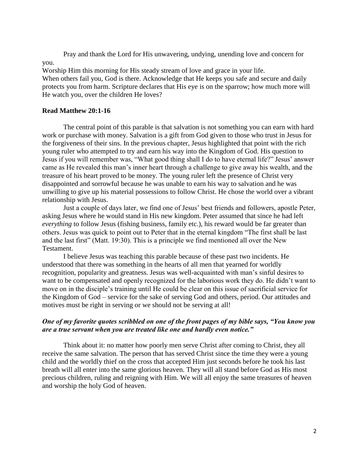Pray and thank the Lord for His unwavering, undying, unending love and concern for you.

Worship Him this morning for His steady stream of love and grace in your life. When others fail you, God is there. Acknowledge that He keeps you safe and secure and daily protects you from harm. Scripture declares that His eye is on the sparrow; how much more will He watch you, over the children He loves?

## **Read Matthew 20:1-16**

The central point of this parable is that salvation is not something you can earn with hard work or purchase with money. Salvation is a gift from God given to those who trust in Jesus for the forgiveness of their sins. In the previous chapter, Jesus highlighted that point with the rich young ruler who attempted to try and earn his way into the Kingdom of God. His question to Jesus if you will remember was, "What good thing shall I do to have eternal life?" Jesus' answer came as He revealed this man's inner heart through a challenge to give away his wealth, and the treasure of his heart proved to be money. The young ruler left the presence of Christ very disappointed and sorrowful because he was unable to earn his way to salvation and he was unwilling to give up his material possessions to follow Christ. He chose the world over a vibrant relationship with Jesus.

Just a couple of days later, we find one of Jesus' best friends and followers, apostle Peter, asking Jesus where he would stand in His new kingdom. Peter assumed that since he had left *everything* to follow Jesus (fishing business, family etc.), his reward would be far greater than others. Jesus was quick to point out to Peter that in the eternal kingdom "The first shall be last and the last first" (Matt. 19:30). This is a principle we find mentioned all over the New Testament.

I believe Jesus was teaching this parable because of these past two incidents. He understood that there was something in the hearts of all men that yearned for worldly recognition, popularity and greatness. Jesus was well-acquainted with man's sinful desires to want to be compensated and openly recognized for the laborious work they do. He didn't want to move on in the disciple's training until He could be clear on this issue of sacrificial service for the Kingdom of God – service for the sake of serving God and others, period. Our attitudes and motives must be right in serving or we should not be serving at all!

## *One of my favorite quotes scribbled on one of the front pages of my bible says, "You know you are a true servant when you are treated like one and hardly even notice."*

Think about it: no matter how poorly men serve Christ after coming to Christ, they all receive the same salvation. The person that has served Christ since the time they were a young child and the worldly thief on the cross that accepted Him just seconds before he took his last breath will all enter into the same glorious heaven. They will all stand before God as His most precious children, ruling and reigning with Him. We will all enjoy the same treasures of heaven and worship the holy God of heaven.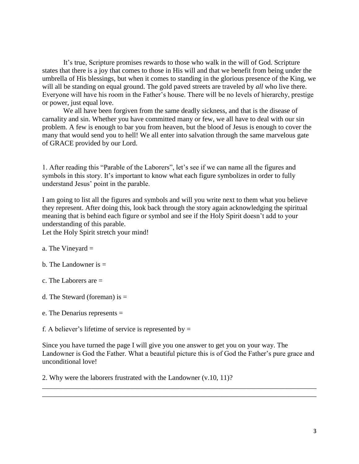It's true, Scripture promises rewards to those who walk in the will of God. Scripture states that there is a joy that comes to those in His will and that we benefit from being under the umbrella of His blessings, but when it comes to standing in the glorious presence of the King, we will all be standing on equal ground. The gold paved streets are traveled by *all* who live there. Everyone will have his room in the Father's house. There will be no levels of hierarchy, prestige or power, just equal love.

We all have been forgiven from the same deadly sickness, and that is the disease of carnality and sin. Whether you have committed many or few, we all have to deal with our sin problem. A few is enough to bar you from heaven, but the blood of Jesus is enough to cover the many that would send you to hell! We all enter into salvation through the same marvelous gate of GRACE provided by our Lord.

1. After reading this "Parable of the Laborers", let's see if we can name all the figures and symbols in this story. It's important to know what each figure symbolizes in order to fully understand Jesus' point in the parable.

I am going to list all the figures and symbols and will you write next to them what you believe they represent. After doing this, look back through the story again acknowledging the spiritual meaning that is behind each figure or symbol and see if the Holy Spirit doesn't add to your understanding of this parable.

Let the Holy Spirit stretch your mind!

- a. The Vineyard  $=$
- b. The Landowner is  $=$
- c. The Laborers are =
- d. The Steward (foreman) is  $=$
- e. The Denarius represents =

f. A believer's lifetime of service is represented by  $=$ 

Since you have turned the page I will give you one answer to get you on your way. The Landowner is God the Father. What a beautiful picture this is of God the Father's pure grace and unconditional love!

\_\_\_\_\_\_\_\_\_\_\_\_\_\_\_\_\_\_\_\_\_\_\_\_\_\_\_\_\_\_\_\_\_\_\_\_\_\_\_\_\_\_\_\_\_\_\_\_\_\_\_\_\_\_\_\_\_\_\_\_\_\_\_\_\_\_\_\_\_\_\_\_\_\_\_\_\_\_ \_\_\_\_\_\_\_\_\_\_\_\_\_\_\_\_\_\_\_\_\_\_\_\_\_\_\_\_\_\_\_\_\_\_\_\_\_\_\_\_\_\_\_\_\_\_\_\_\_\_\_\_\_\_\_\_\_\_\_\_\_\_\_\_\_\_\_\_\_\_\_\_\_\_\_\_\_\_

2. Why were the laborers frustrated with the Landowner (v.10, 11)?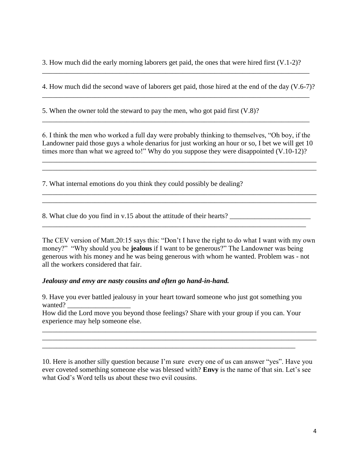3. How much did the early morning laborers get paid, the ones that were hired first (V.1-2)?

\_\_\_\_\_\_\_\_\_\_\_\_\_\_\_\_\_\_\_\_\_\_\_\_\_\_\_\_\_\_\_\_\_\_\_\_\_\_\_\_\_\_\_\_\_\_\_\_\_\_\_\_\_\_\_\_\_\_\_\_\_\_\_\_\_\_\_\_\_\_\_\_\_\_\_\_

4. How much did the second wave of laborers get paid, those hired at the end of the day (V.6-7)? \_\_\_\_\_\_\_\_\_\_\_\_\_\_\_\_\_\_\_\_\_\_\_\_\_\_\_\_\_\_\_\_\_\_\_\_\_\_\_\_\_\_\_\_\_\_\_\_\_\_\_\_\_\_\_\_\_\_\_\_\_\_\_\_\_\_\_\_\_\_\_\_\_\_\_\_

5. When the owner told the steward to pay the men, who got paid first (V.8)?

6. I think the men who worked a full day were probably thinking to themselves, "Oh boy, if the Landowner paid those guys a whole denarius for just working an hour or so, I bet we will get 10 times more than what we agreed to!" Why do you suppose they were disappointed (V.10-12)?

\_\_\_\_\_\_\_\_\_\_\_\_\_\_\_\_\_\_\_\_\_\_\_\_\_\_\_\_\_\_\_\_\_\_\_\_\_\_\_\_\_\_\_\_\_\_\_\_\_\_\_\_\_\_\_\_\_\_\_\_\_\_\_\_\_\_\_\_\_\_\_\_\_\_\_\_\_\_

\_\_\_\_\_\_\_\_\_\_\_\_\_\_\_\_\_\_\_\_\_\_\_\_\_\_\_\_\_\_\_\_\_\_\_\_\_\_\_\_\_\_\_\_\_\_\_\_\_\_\_\_\_\_\_\_\_\_\_\_\_\_\_\_\_\_\_\_\_\_\_\_\_\_\_\_\_\_ \_\_\_\_\_\_\_\_\_\_\_\_\_\_\_\_\_\_\_\_\_\_\_\_\_\_\_\_\_\_\_\_\_\_\_\_\_\_\_\_\_\_\_\_\_\_\_\_\_\_\_\_\_\_\_\_\_\_\_\_\_\_\_\_\_\_\_\_\_\_\_\_\_\_\_\_\_\_

\_\_\_\_\_\_\_\_\_\_\_\_\_\_\_\_\_\_\_\_\_\_\_\_\_\_\_\_\_\_\_\_\_\_\_\_\_\_\_\_\_\_\_\_\_\_\_\_\_\_\_\_\_\_\_\_\_\_\_\_\_\_\_\_\_\_\_\_\_\_\_\_\_\_\_\_

7. What internal emotions do you think they could possibly be dealing?

8. What clue do you find in v.15 about the attitude of their hearts? \_\_\_\_\_\_\_\_\_\_\_\_\_\_\_\_\_\_\_\_\_\_\_

The CEV version of Matt.20:15 says this: "Don't I have the right to do what I want with my own money?" "Why should you be **jealous** if I want to be generous?" The Landowner was being generous with his money and he was being generous with whom he wanted. Problem was - not all the workers considered that fair.

\_\_\_\_\_\_\_\_\_\_\_\_\_\_\_\_\_\_\_\_\_\_\_\_\_\_\_\_\_\_\_\_\_\_\_\_\_\_\_\_\_\_\_\_\_\_\_\_\_\_\_\_\_\_\_\_\_\_\_\_\_\_\_\_\_\_\_\_\_\_\_\_\_\_\_

## *Jealousy and envy are nasty cousins and often go hand-in-hand.*

9. Have you ever battled jealousy in your heart toward someone who just got something you wanted?

How did the Lord move you beyond those feelings? Share with your group if you can. Your experience may help someone else.

\_\_\_\_\_\_\_\_\_\_\_\_\_\_\_\_\_\_\_\_\_\_\_\_\_\_\_\_\_\_\_\_\_\_\_\_\_\_\_\_\_\_\_\_\_\_\_\_\_\_\_\_\_\_\_\_\_\_\_\_\_\_\_\_\_\_\_\_\_\_\_\_

\_\_\_\_\_\_\_\_\_\_\_\_\_\_\_\_\_\_\_\_\_\_\_\_\_\_\_\_\_\_\_\_\_\_\_\_\_\_\_\_\_\_\_\_\_\_\_\_\_\_\_\_\_\_\_\_\_\_\_\_\_\_\_\_\_\_\_\_\_\_\_\_\_\_\_\_\_\_ \_\_\_\_\_\_\_\_\_\_\_\_\_\_\_\_\_\_\_\_\_\_\_\_\_\_\_\_\_\_\_\_\_\_\_\_\_\_\_\_\_\_\_\_\_\_\_\_\_\_\_\_\_\_\_\_\_\_\_\_\_\_\_\_\_\_\_\_\_\_\_\_\_\_\_\_\_\_

10. Here is another silly question because I'm sure every one of us can answer "yes". Have you ever coveted something someone else was blessed with? **Envy** is the name of that sin. Let's see what God's Word tells us about these two evil cousins.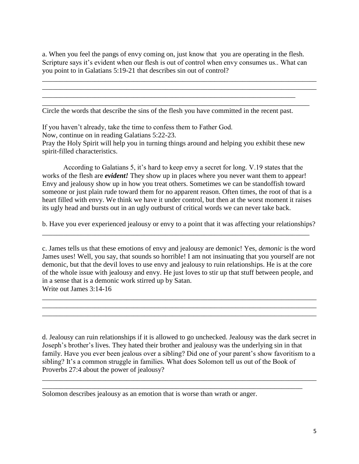a. When you feel the pangs of envy coming on, just know that you are operating in the flesh. Scripture says it's evident when our flesh is out of control when envy consumes us.. What can you point to in Galatians 5:19-21 that describes sin out of control?

\_\_\_\_\_\_\_\_\_\_\_\_\_\_\_\_\_\_\_\_\_\_\_\_\_\_\_\_\_\_\_\_\_\_\_\_\_\_\_\_\_\_\_\_\_\_\_\_\_\_\_\_\_\_\_\_\_\_\_\_\_\_\_\_\_\_\_\_\_\_\_\_\_\_\_\_\_\_ \_\_\_\_\_\_\_\_\_\_\_\_\_\_\_\_\_\_\_\_\_\_\_\_\_\_\_\_\_\_\_\_\_\_\_\_\_\_\_\_\_\_\_\_\_\_\_\_\_\_\_\_\_\_\_\_\_\_\_\_\_\_\_\_\_\_\_\_\_\_\_\_\_\_\_\_\_\_

Circle the words that describe the sins of the flesh you have committed in the recent past.

\_\_\_\_\_\_\_\_\_\_\_\_\_\_\_\_\_\_\_\_\_\_\_\_\_\_\_\_\_\_\_\_\_\_\_\_\_\_\_\_\_\_\_\_\_\_\_\_\_\_\_\_\_\_\_\_\_\_\_\_\_\_\_\_\_\_\_\_\_\_\_\_ \_\_\_\_\_\_\_\_\_\_\_\_\_\_\_\_\_\_\_\_\_\_\_\_\_\_\_\_\_\_\_\_\_\_\_\_\_\_\_\_\_\_\_\_\_\_\_\_\_\_\_\_\_\_\_\_\_\_\_\_\_\_\_\_\_\_\_\_\_\_\_\_\_\_\_\_

If you haven't already, take the time to confess them to Father God.

Now, continue on in reading Galatians 5:22-23.

Pray the Holy Spirit will help you in turning things around and helping you exhibit these new spirit-filled characteristics.

 According to Galatians 5, it's hard to keep envy a secret for long. V.19 states that the works of the flesh are *evident!* They show up in places where you never want them to appear! Envy and jealousy show up in how you treat others. Sometimes we can be standoffish toward someone or just plain rude toward them for no apparent reason. Often times, the root of that is a heart filled with envy. We think we have it under control, but then at the worst moment it raises its ugly head and bursts out in an ugly outburst of critical words we can never take back.

b. Have you ever experienced jealousy or envy to a point that it was affecting your relationships? \_\_\_\_\_\_\_\_\_\_\_\_\_\_\_\_\_\_\_\_\_\_\_\_\_\_\_\_\_\_\_\_\_\_\_\_\_\_\_\_\_\_\_\_\_\_\_\_\_\_\_\_\_\_\_\_\_\_\_\_\_\_\_\_\_\_\_\_\_\_\_\_\_\_\_\_

c. James tells us that these emotions of envy and jealousy are demonic! Yes, *demonic* is the word James uses! Well, you say, that sounds so horrible! I am not insinuating that you yourself are not demonic, but that the devil loves to use envy and jealousy to ruin relationships. He is at the core of the whole issue with jealousy and envy. He just loves to stir up that stuff between people, and in a sense that is a demonic work stirred up by Satan. Write out James 3:14-16

\_\_\_\_\_\_\_\_\_\_\_\_\_\_\_\_\_\_\_\_\_\_\_\_\_\_\_\_\_\_\_\_\_\_\_\_\_\_\_\_\_\_\_\_\_\_\_\_\_\_\_\_\_\_\_\_\_\_\_\_\_\_\_\_\_\_\_\_\_\_\_\_\_\_\_\_\_\_ \_\_\_\_\_\_\_\_\_\_\_\_\_\_\_\_\_\_\_\_\_\_\_\_\_\_\_\_\_\_\_\_\_\_\_\_\_\_\_\_\_\_\_\_\_\_\_\_\_\_\_\_\_\_\_\_\_\_\_\_\_\_\_\_\_\_\_\_\_\_\_\_\_\_\_\_\_\_ \_\_\_\_\_\_\_\_\_\_\_\_\_\_\_\_\_\_\_\_\_\_\_\_\_\_\_\_\_\_\_\_\_\_\_\_\_\_\_\_\_\_\_\_\_\_\_\_\_\_\_\_\_\_\_\_\_\_\_\_\_\_\_\_\_\_\_\_\_\_\_\_\_\_\_\_\_\_

d. Jealousy can ruin relationships if it is allowed to go unchecked. Jealousy was the dark secret in Joseph's brother's lives. They hated their brother and jealousy was the underlying sin in that family. Have you ever been jealous over a sibling? Did one of your parent's show favoritism to a sibling? It's a common struggle in families. What does Solomon tell us out of the Book of Proverbs 27:4 about the power of jealousy?

\_\_\_\_\_\_\_\_\_\_\_\_\_\_\_\_\_\_\_\_\_\_\_\_\_\_\_\_\_\_\_\_\_\_\_\_\_\_\_\_\_\_\_\_\_\_\_\_\_\_\_\_\_\_\_\_\_\_\_\_\_\_\_\_\_\_\_\_\_\_\_\_\_\_\_\_\_\_ \_\_\_\_\_\_\_\_\_\_\_\_\_\_\_\_\_\_\_\_\_\_\_\_\_\_\_\_\_\_\_\_\_\_\_\_\_\_\_\_\_\_\_\_\_\_\_\_\_\_\_\_\_\_\_\_\_\_\_\_\_\_\_\_\_\_\_\_\_\_\_\_\_\_

Solomon describes jealousy as an emotion that is worse than wrath or anger.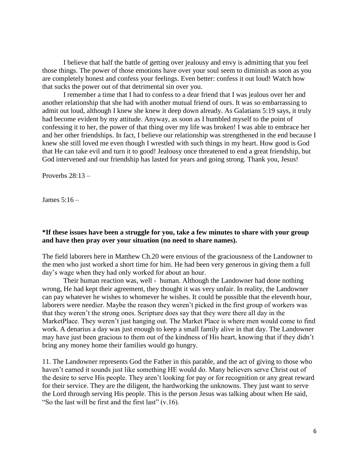I believe that half the battle of getting over jealousy and envy is admitting that you feel those things. The power of those emotions have over your soul seem to diminish as soon as you are completely honest and confess your feelings. Even better: confess it out loud! Watch how that sucks the power out of that detrimental sin over you.

 I remember a time that I had to confess to a dear friend that I was jealous over her and another relationship that she had with another mutual friend of ours. It was so embarrassing to admit out loud, although I knew she knew it deep down already. As Galatians 5:19 says, it truly had become evident by my attitude. Anyway, as soon as I humbled myself to the point of confessing it to her, the power of that thing over my life was broken! I was able to embrace her and her other friendships. In fact, I believe our relationship was strengthened in the end because I knew she still loved me even though I wrestled with such things in my heart. How good is God that He can take evil and turn it to good! Jealousy once threatened to end a great friendship, but God intervened and our friendship has lasted for years and going strong. Thank you, Jesus!

Proverbs  $28:13-$ 

James 5:16 –

## **\*If these issues have been a struggle for you, take a few minutes to share with your group and have then pray over your situation (no need to share names).**

The field laborers here in Matthew Ch.20 were envious of the graciousness of the Landowner to the men who just worked a short time for him. He had been very generous in giving them a full day's wage when they had only worked for about an hour.

 Their human reaction was, well - human. Although the Landowner had done nothing wrong, He had kept their agreement, they thought it was very unfair. In reality, the Landowner can pay whatever he wishes to whomever he wishes. It could be possible that the eleventh hour, laborers were needier. Maybe the reason they weren't picked in the first group of workers was that they weren't the strong ones. Scripture does say that they were there all day in the MarketPlace. They weren't just hanging out. The Market Place is where men would come to find work. A denarius a day was just enough to keep a small family alive in that day. The Landowner may have just been gracious to them out of the kindness of His heart, knowing that if they didn't bring any money home their families would go hungry.

11. The Landowner represents God the Father in this parable, and the act of giving to those who haven't earned it sounds just like something HE would do. Many believers serve Christ out of the desire to serve His people. They aren't looking for pay or for recognition or any great reward for their service. They are the diligent, the hardworking the unknowns. They just want to serve the Lord through serving His people. This is the person Jesus was talking about when He said, "So the last will be first and the first last" (v.16).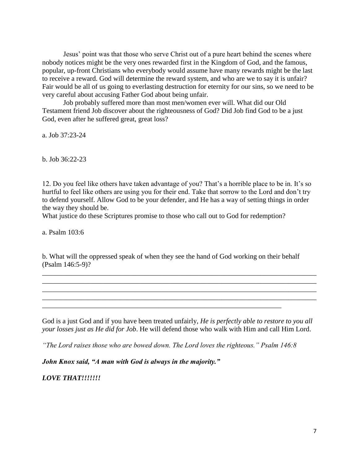Jesus' point was that those who serve Christ out of a pure heart behind the scenes where nobody notices might be the very ones rewarded first in the Kingdom of God, and the famous, popular, up-front Christians who everybody would assume have many rewards might be the last to receive a reward. God will determine the reward system, and who are we to say it is unfair? Fair would be all of us going to everlasting destruction for eternity for our sins, so we need to be very careful about accusing Father God about being unfair.

Job probably suffered more than most men/women ever will. What did our Old Testament friend Job discover about the righteousness of God? Did Job find God to be a just God, even after he suffered great, great loss?

a. Job 37:23-24

b. Job 36:22-23

12. Do you feel like others have taken advantage of you? That's a horrible place to be in. It's so hurtful to feel like others are using you for their end. Take that sorrow to the Lord and don't try to defend yourself. Allow God to be your defender, and He has a way of setting things in order the way they should be.

What justice do these Scriptures promise to those who call out to God for redemption?

a. Psalm 103:6

b. What will the oppressed speak of when they see the hand of God working on their behalf (Psalm 146:5-9)?

\_\_\_\_\_\_\_\_\_\_\_\_\_\_\_\_\_\_\_\_\_\_\_\_\_\_\_\_\_\_\_\_\_\_\_\_\_\_\_\_\_\_\_\_\_\_\_\_\_\_\_\_\_\_\_\_\_\_\_\_\_\_\_\_\_\_\_\_\_\_\_\_\_\_\_\_\_\_ \_\_\_\_\_\_\_\_\_\_\_\_\_\_\_\_\_\_\_\_\_\_\_\_\_\_\_\_\_\_\_\_\_\_\_\_\_\_\_\_\_\_\_\_\_\_\_\_\_\_\_\_\_\_\_\_\_\_\_\_\_\_\_\_\_\_\_\_\_\_\_\_\_\_\_\_\_\_ \_\_\_\_\_\_\_\_\_\_\_\_\_\_\_\_\_\_\_\_\_\_\_\_\_\_\_\_\_\_\_\_\_\_\_\_\_\_\_\_\_\_\_\_\_\_\_\_\_\_\_\_\_\_\_\_\_\_\_\_\_\_\_\_\_\_\_\_\_\_\_\_\_\_\_\_\_\_ \_\_\_\_\_\_\_\_\_\_\_\_\_\_\_\_\_\_\_\_\_\_\_\_\_\_\_\_\_\_\_\_\_\_\_\_\_\_\_\_\_\_\_\_\_\_\_\_\_\_\_\_\_\_\_\_\_\_\_\_\_\_\_\_\_\_\_\_\_\_\_\_\_\_\_\_\_\_

God is a just God and if you have been treated unfairly, *He is perfectly able to restore to you all your losses just as He did for Job*. He will defend those who walk with Him and call Him Lord.

*"The Lord raises those who are bowed down. The Lord loves the righteous." Psalm 146:8*

*John Knox said, "A man with God is always in the majority."*

*LOVE THAT!!!!!!!*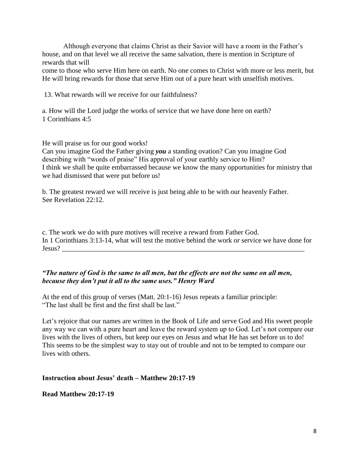Although everyone that claims Christ as their Savior will have a room in the Father's house, and on that level we all receive the same salvation, there is mention in Scripture of rewards that will

come to those who serve Him here on earth. No one comes to Christ with more or less merit, but He will bring rewards for those that serve Him out of a pure heart with unselfish motives.

13. What rewards will we receive for our faithfulness?

a. How will the Lord judge the works of service that we have done here on earth? 1 Corinthians 4:5

He will praise us for our good works!

Can you imagine God the Father giving *you* a standing ovation? Can you imagine God describing with "words of praise" His approval of your earthly service to Him? I think we shall be quite embarrassed because we know the many opportunities for ministry that we had dismissed that were put before us!

b. The greatest reward we will receive is just being able to be with our heavenly Father. See Revelation 22:12.

c. The work we do with pure motives will receive a reward from Father God. In 1 Corinthians 3:13-14, what will test the motive behind the work or service we have done for Jesus? \_\_\_\_\_\_\_\_\_\_\_\_\_\_\_\_\_\_\_\_\_\_\_\_\_\_\_\_\_\_\_\_\_\_\_\_\_\_\_\_\_\_\_\_\_\_\_\_\_\_\_\_\_\_\_\_\_\_\_\_\_\_\_\_\_\_\_\_\_

# *"The nature of God is the same to all men, but the effects are not the same on all men, because they don't put it all to the same uses." Henry Ward*

At the end of this group of verses (Matt. 20:1-16) Jesus repeats a familiar principle: "The last shall be first and the first shall be last."

Let's rejoice that our names are written in the Book of Life and serve God and His sweet people any way we can with a pure heart and leave the reward system up to God. Let's not compare our lives with the lives of others, but keep our eyes on Jesus and what He has set before us to do! This seems to be the simplest way to stay out of trouble and not to be tempted to compare our lives with others.

# **Instruction about Jesus' death – Matthew 20:17-19**

## **Read Matthew 20:17-19**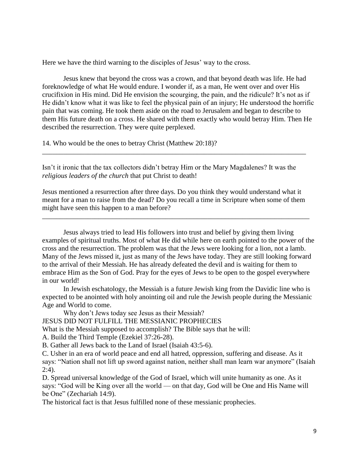Here we have the third warning to the disciples of Jesus' way to the cross.

Jesus knew that beyond the cross was a crown, and that beyond death was life. He had foreknowledge of what He would endure. I wonder if, as a man, He went over and over His crucifixion in His mind. Did He envision the scourging, the pain, and the ridicule? It's not as if He didn't know what it was like to feel the physical pain of an injury; He understood the horrific pain that was coming. He took them aside on the road to Jerusalem and began to describe to them His future death on a cross. He shared with them exactly who would betray Him. Then He described the resurrection. They were quite perplexed.

14. Who would be the ones to betray Christ (Matthew 20:18)?

Isn't it ironic that the tax collectors didn't betray Him or the Mary Magdalenes? It was the *religious leaders of the church* that put Christ to death!

\_\_\_\_\_\_\_\_\_\_\_\_\_\_\_\_\_\_\_\_\_\_\_\_\_\_\_\_\_\_\_\_\_\_\_\_\_\_\_\_\_\_\_\_\_\_\_\_\_\_\_\_\_\_\_\_\_\_\_\_\_\_\_\_\_\_\_\_\_\_\_\_\_\_\_

Jesus mentioned a resurrection after three days. Do you think they would understand what it meant for a man to raise from the dead? Do you recall a time in Scripture when some of them might have seen this happen to a man before?

\_\_\_\_\_\_\_\_\_\_\_\_\_\_\_\_\_\_\_\_\_\_\_\_\_\_\_\_\_\_\_\_\_\_\_\_\_\_\_\_\_\_\_\_\_\_\_\_\_\_\_\_\_\_\_\_\_\_\_\_\_\_\_\_\_\_\_\_\_\_\_\_\_\_\_\_

Jesus always tried to lead His followers into trust and belief by giving them living examples of spiritual truths. Most of what He did while here on earth pointed to the power of the cross and the resurrection. The problem was that the Jews were looking for a lion, not a lamb. Many of the Jews missed it, just as many of the Jews have today. They are still looking forward to the arrival of their Messiah. He has already defeated the devil and is waiting for them to embrace Him as the Son of God. Pray for the eyes of Jews to be open to the gospel everywhere in our world!

In [Jewish eschatology,](https://en.wikipedia.org/wiki/Jewish_eschatology) the Messiah is a future Jewish [king](https://en.wikipedia.org/wiki/Monarch) from the [Davidic line](https://en.wikipedia.org/wiki/Davidic_line) who is expected to be anointed with [holy anointing oil](https://en.wikipedia.org/wiki/Holy_anointing_oil) and rule the Jewish people during the [Messianic](https://en.wikipedia.org/wiki/Messianic_Age)  [Age](https://en.wikipedia.org/wiki/Messianic_Age) and [World to come.](https://en.wikipedia.org/wiki/World_to_come)

Why don't Jews today see Jesus as their Messiah?

JESUS DID NOT FULFILL THE MESSIANIC PROPHECIES

What is the Messiah supposed to accomplish? The Bible says that he will:

A. Build the Third Temple [\(Ezekiel 37:26-28\)](https://biblia.com/bible/nasb95/Ezek%2037.26-28).

B. Gather all Jews back to the Land of Israel [\(Isaiah 43:5-6\)](https://biblia.com/bible/nasb95/Isa%2043.5-6).

C. Usher in an era of world peace and end all hatred, oppression, suffering and disease. As it says: "Nation shall not lift up sword against nation, neither shall man learn war anymore" [\(Isaiah](https://biblia.com/bible/nasb95/Isa%202.4)  [2:4\)](https://biblia.com/bible/nasb95/Isa%202.4).

D. Spread universal knowledge of the God of Israel, which will unite humanity as one. As it says: "God will be King over all the world — on that day, God will be One and His Name will be One" [\(Zechariah 14:9\)](https://biblia.com/bible/nasb95/Zech%2014.9).

The historical fact is that Jesus fulfilled none of these messianic prophecies.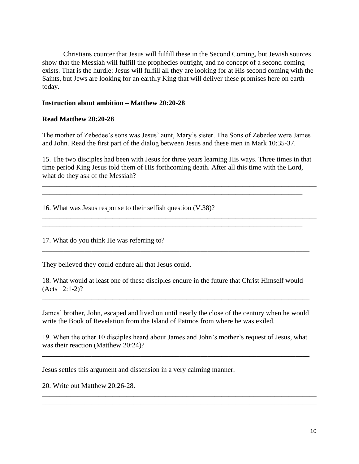Christians counter that Jesus will fulfill these in the Second Coming, but Jewish sources show that the Messiah will fulfill the prophecies outright, and no concept of a second coming exists. That is the hurdle: Jesus will fulfill all they are looking for at His second coming with the Saints, but Jews are looking for an earthly King that will deliver these promises here on earth today.

## **Instruction about ambition – Matthew 20:20-28**

## **Read Matthew 20:20-28**

The mother of Zebedee's sons was Jesus' aunt, Mary's sister. The Sons of Zebedee were James and John. Read the first part of the dialog between Jesus and these men in Mark 10:35-37.

15. The two disciples had been with Jesus for three years learning His ways. Three times in that time period King Jesus told them of His forthcoming death. After all this time with the Lord, what do they ask of the Messiah?

\_\_\_\_\_\_\_\_\_\_\_\_\_\_\_\_\_\_\_\_\_\_\_\_\_\_\_\_\_\_\_\_\_\_\_\_\_\_\_\_\_\_\_\_\_\_\_\_\_\_\_\_\_\_\_\_\_\_\_\_\_\_\_\_\_\_\_\_\_\_\_\_\_\_\_\_\_\_ \_\_\_\_\_\_\_\_\_\_\_\_\_\_\_\_\_\_\_\_\_\_\_\_\_\_\_\_\_\_\_\_\_\_\_\_\_\_\_\_\_\_\_\_\_\_\_\_\_\_\_\_\_\_\_\_\_\_\_\_\_\_\_\_\_\_\_\_\_\_\_\_\_\_

\_\_\_\_\_\_\_\_\_\_\_\_\_\_\_\_\_\_\_\_\_\_\_\_\_\_\_\_\_\_\_\_\_\_\_\_\_\_\_\_\_\_\_\_\_\_\_\_\_\_\_\_\_\_\_\_\_\_\_\_\_\_\_\_\_\_\_\_\_\_\_\_\_\_\_\_\_\_ \_\_\_\_\_\_\_\_\_\_\_\_\_\_\_\_\_\_\_\_\_\_\_\_\_\_\_\_\_\_\_\_\_\_\_\_\_\_\_\_\_\_\_\_\_\_\_\_\_\_\_\_\_\_\_\_\_\_\_\_\_\_\_\_\_\_\_\_\_\_\_\_\_\_

16. What was Jesus response to their selfish question (V.38)?

17. What do you think He was referring to?

They believed they could endure all that Jesus could.

18. What would at least one of these disciples endure in the future that Christ Himself would (Acts 12:1-2)?

\_\_\_\_\_\_\_\_\_\_\_\_\_\_\_\_\_\_\_\_\_\_\_\_\_\_\_\_\_\_\_\_\_\_\_\_\_\_\_\_\_\_\_\_\_\_\_\_\_\_\_\_\_\_\_\_\_\_\_\_\_\_\_\_\_\_\_\_\_\_\_\_\_\_\_\_

James' brother, John, escaped and lived on until nearly the close of the century when he would write the Book of Revelation from the Island of Patmos from where he was exiled.

\_\_\_\_\_\_\_\_\_\_\_\_\_\_\_\_\_\_\_\_\_\_\_\_\_\_\_\_\_\_\_\_\_\_\_\_\_\_\_\_\_\_\_\_\_\_\_\_\_\_\_\_\_\_\_\_\_\_\_\_\_\_\_\_\_\_\_\_\_\_\_\_\_\_\_\_

19. When the other 10 disciples heard about James and John's mother's request of Jesus, what was their reaction (Matthew 20:24)?

\_\_\_\_\_\_\_\_\_\_\_\_\_\_\_\_\_\_\_\_\_\_\_\_\_\_\_\_\_\_\_\_\_\_\_\_\_\_\_\_\_\_\_\_\_\_\_\_\_\_\_\_\_\_\_\_\_\_\_\_\_\_\_\_\_\_\_\_\_\_\_\_\_\_\_\_

\_\_\_\_\_\_\_\_\_\_\_\_\_\_\_\_\_\_\_\_\_\_\_\_\_\_\_\_\_\_\_\_\_\_\_\_\_\_\_\_\_\_\_\_\_\_\_\_\_\_\_\_\_\_\_\_\_\_\_\_\_\_\_\_\_\_\_\_\_\_\_\_\_\_\_\_\_\_ \_\_\_\_\_\_\_\_\_\_\_\_\_\_\_\_\_\_\_\_\_\_\_\_\_\_\_\_\_\_\_\_\_\_\_\_\_\_\_\_\_\_\_\_\_\_\_\_\_\_\_\_\_\_\_\_\_\_\_\_\_\_\_\_\_\_\_\_\_\_\_\_\_\_\_\_\_\_

Jesus settles this argument and dissension in a very calming manner.

20. Write out Matthew 20:26-28.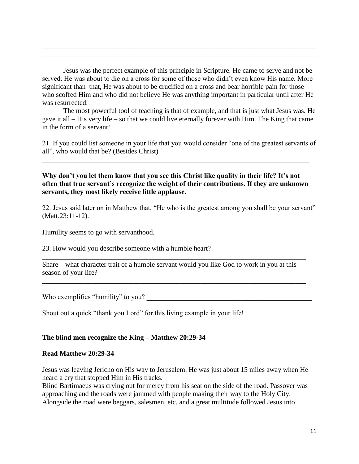Jesus was the perfect example of this principle in Scripture. He came to serve and not be served. He was about to die on a cross for some of those who didn't even know His name. More significant than that, He was about to be crucified on a cross and bear horrible pain for those who scoffed Him and who did not believe He was anything important in particular until after He was resurrected.

\_\_\_\_\_\_\_\_\_\_\_\_\_\_\_\_\_\_\_\_\_\_\_\_\_\_\_\_\_\_\_\_\_\_\_\_\_\_\_\_\_\_\_\_\_\_\_\_\_\_\_\_\_\_\_\_\_\_\_\_\_\_\_\_\_\_\_\_\_\_\_\_\_\_\_\_\_\_ \_\_\_\_\_\_\_\_\_\_\_\_\_\_\_\_\_\_\_\_\_\_\_\_\_\_\_\_\_\_\_\_\_\_\_\_\_\_\_\_\_\_\_\_\_\_\_\_\_\_\_\_\_\_\_\_\_\_\_\_\_\_\_\_\_\_\_\_\_\_\_\_\_\_\_\_\_\_

The most powerful tool of teaching is that of example, and that is just what Jesus was. He gave it all – His very life – so that we could live eternally forever with Him. The King that came in the form of a servant!

21. If you could list someone in your life that you would consider "one of the greatest servants of all", who would that be? (Besides Christ)

**Why don't you let them know that you see this Christ like quality in their life? It's not often that true servant's recognize the weight of their contributions. If they are unknown servants, they most likely receive little applause.**

\_\_\_\_\_\_\_\_\_\_\_\_\_\_\_\_\_\_\_\_\_\_\_\_\_\_\_\_\_\_\_\_\_\_\_\_\_\_\_\_\_\_\_\_\_\_\_\_\_\_\_\_\_\_\_\_\_\_\_\_\_\_\_\_\_\_\_\_\_\_\_\_\_\_\_\_

22. Jesus said later on in Matthew that, "He who is the greatest among you shall be your servant" (Matt.23:11-12).

Humility seems to go with servanthood.

23. How would you describe someone with a humble heart?

Share – what character trait of a humble servant would you like God to work in you at this season of your life?

\_\_\_\_\_\_\_\_\_\_\_\_\_\_\_\_\_\_\_\_\_\_\_\_\_\_\_\_\_\_\_\_\_\_\_\_\_\_\_\_\_\_\_\_\_\_\_\_\_\_\_\_\_\_\_\_\_\_\_\_\_\_\_\_\_\_\_\_\_\_\_\_\_\_\_

\_\_\_\_\_\_\_\_\_\_\_\_\_\_\_\_\_\_\_\_\_\_\_\_\_\_\_\_\_\_\_\_\_\_\_\_\_\_\_\_\_\_\_\_\_\_\_\_\_\_\_\_\_\_\_\_\_\_\_\_\_\_\_\_\_\_\_\_\_\_\_\_\_\_\_

Who exemplifies "humility" to you?

Shout out a quick "thank you Lord" for this living example in your life!

#### **The blind men recognize the King – Matthew 20:29-34**

#### **Read Matthew 20:29-34**

Jesus was leaving Jericho on His way to Jerusalem. He was just about 15 miles away when He heard a cry that stopped Him in His tracks.

Blind Bartimaeus was crying out for mercy from his seat on the side of the road. Passover was approaching and the roads were jammed with people making their way to the Holy City. Alongside the road were beggars, salesmen, etc. and a great multitude followed Jesus into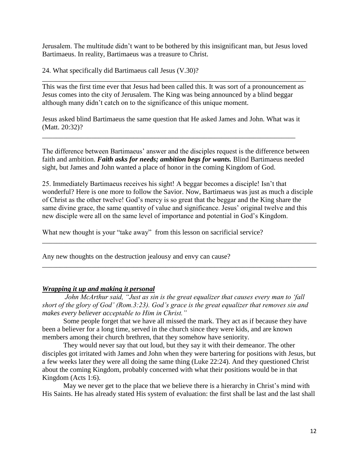Jerusalem. The multitude didn't want to be bothered by this insignificant man, but Jesus loved Bartimaeus. In reality, Bartimaeus was a treasure to Christ.

24. What specifically did Bartimaeus call Jesus (V.30)?

This was the first time ever that Jesus had been called this. It was sort of a pronouncement as Jesus comes into the city of Jerusalem. The King was being announced by a blind beggar although many didn't catch on to the significance of this unique moment.

\_\_\_\_\_\_\_\_\_\_\_\_\_\_\_\_\_\_\_\_\_\_\_\_\_\_\_\_\_\_\_\_\_\_\_\_\_\_\_\_\_\_\_\_\_\_\_\_\_\_\_\_\_\_\_\_\_\_\_\_\_\_\_\_\_\_\_\_\_\_\_\_\_\_\_

Jesus asked blind Bartimaeus the same question that He asked James and John. What was it (Matt. 20:32)?

\_\_\_\_\_\_\_\_\_\_\_\_\_\_\_\_\_\_\_\_\_\_\_\_\_\_\_\_\_\_\_\_\_\_\_\_\_\_\_\_\_\_\_\_\_\_\_\_\_\_\_\_\_\_\_\_\_\_\_\_\_\_\_\_\_\_\_\_\_\_\_\_

The difference between Bartimaeus' answer and the disciples request is the difference between faith and ambition. *Faith asks for needs; ambition begs for wants.* Blind Bartimaeus needed sight, but James and John wanted a place of honor in the coming Kingdom of God.

25. Immediately Bartimaeus receives his sight! A beggar becomes a disciple! Isn't that wonderful? Here is one more to follow the Savior. Now, Bartimaeus was just as much a disciple of Christ as the other twelve! God's mercy is so great that the beggar and the King share the same divine grace, the same quantity of value and significance. Jesus' original twelve and this new disciple were all on the same level of importance and potential in God's Kingdom.

\_\_\_\_\_\_\_\_\_\_\_\_\_\_\_\_\_\_\_\_\_\_\_\_\_\_\_\_\_\_\_\_\_\_\_\_\_\_\_\_\_\_\_\_\_\_\_\_\_\_\_\_\_\_\_\_\_\_\_\_\_\_\_\_\_\_\_\_\_\_\_\_\_\_\_\_\_\_

\_\_\_\_\_\_\_\_\_\_\_\_\_\_\_\_\_\_\_\_\_\_\_\_\_\_\_\_\_\_\_\_\_\_\_\_\_\_\_\_\_\_\_\_\_\_\_\_\_\_\_\_\_\_\_\_\_\_\_\_\_\_\_\_\_\_\_\_\_\_\_\_\_\_\_\_\_\_

What new thought is your "take away" from this lesson on sacrificial service?

Any new thoughts on the destruction jealousy and envy can cause?

## *Wrapping it up and making it personal*

 *John McArthur said, "Just as sin is the great equalizer that causes every man to 'fall short of the glory of God' (Rom.3:23). God's grace is the great equalizer that removes sin and makes every believer acceptable to Him in Christ."*

 Some people forget that we have all missed the mark. They act as if because they have been a believer for a long time, served in the church since they were kids, and are known members among their church brethren, that they somehow have seniority.

 They would never say that out loud, but they say it with their demeanor. The other disciples got irritated with James and John when they were bartering for positions with Jesus, but a few weeks later they were all doing the same thing (Luke 22:24). And they questioned Christ about the coming Kingdom, probably concerned with what their positions would be in that Kingdom (Acts 1:6).

 May we never get to the place that we believe there is a hierarchy in Christ's mind with His Saints. He has already stated His system of evaluation: the first shall be last and the last shall